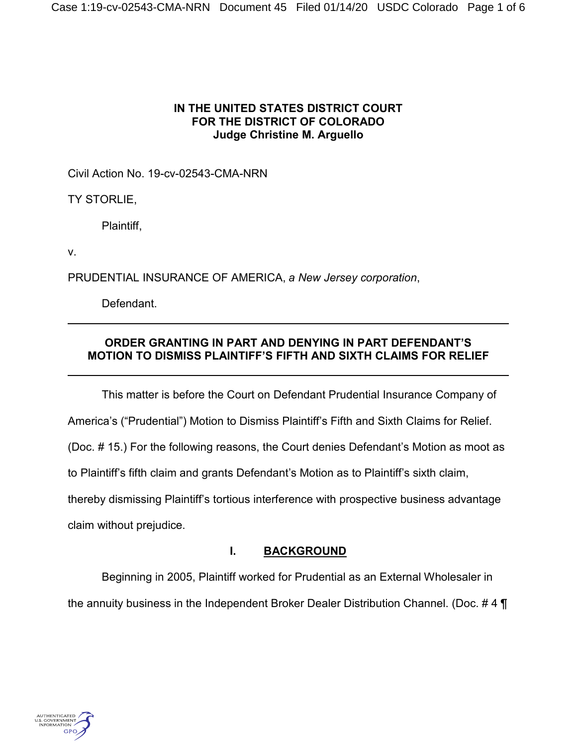## **IN THE UNITED STATES DISTRICT COURT FOR THE DISTRICT OF COLORADO Judge Christine M. Arguello**

Civil Action No. 19-cv-02543-CMA-NRN

TY STORLIE,

Plaintiff,

v.

PRUDENTIAL INSURANCE OF AMERICA, *a New Jersey corporation*,

Defendant.

# **ORDER GRANTING IN PART AND DENYING IN PART DEFENDANT'S MOTION TO DISMISS PLAINTIFF'S FIFTH AND SIXTH CLAIMS FOR RELIEF**

This matter is before the Court on Defendant Prudential Insurance Company of America's ("Prudential") Motion to Dismiss Plaintiff's Fifth and Sixth Claims for Relief. (Doc. # 15.) For the following reasons, the Court denies Defendant's Motion as moot as to Plaintiff's fifth claim and grants Defendant's Motion as to Plaintiff's sixth claim, thereby dismissing Plaintiff's tortious interference with prospective business advantage claim without prejudice.

# **I. BACKGROUND**

Beginning in 2005, Plaintiff worked for Prudential as an External Wholesaler in the annuity business in the Independent Broker Dealer Distribution Channel. (Doc. # 4 ¶

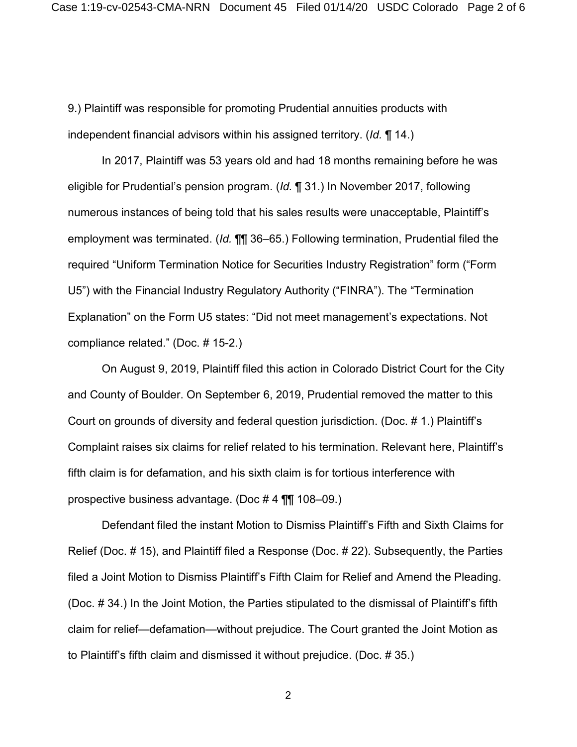9.) Plaintiff was responsible for promoting Prudential annuities products with independent financial advisors within his assigned territory. (*Id.* ¶ 14.)

In 2017, Plaintiff was 53 years old and had 18 months remaining before he was eligible for Prudential's pension program. (*Id.* ¶ 31.) In November 2017, following numerous instances of being told that his sales results were unacceptable, Plaintiff's employment was terminated. (*Id.* ¶¶ 36–65.) Following termination, Prudential filed the required "Uniform Termination Notice for Securities Industry Registration" form ("Form U5") with the Financial Industry Regulatory Authority ("FINRA"). The "Termination Explanation" on the Form U5 states: "Did not meet management's expectations. Not compliance related." (Doc. # 15-2.)

On August 9, 2019, Plaintiff filed this action in Colorado District Court for the City and County of Boulder. On September 6, 2019, Prudential removed the matter to this Court on grounds of diversity and federal question jurisdiction. (Doc. # 1.) Plaintiff's Complaint raises six claims for relief related to his termination. Relevant here, Plaintiff's fifth claim is for defamation, and his sixth claim is for tortious interference with prospective business advantage. (Doc # 4 ¶¶ 108–09.)

Defendant filed the instant Motion to Dismiss Plaintiff's Fifth and Sixth Claims for Relief (Doc. # 15), and Plaintiff filed a Response (Doc. # 22). Subsequently, the Parties filed a Joint Motion to Dismiss Plaintiff's Fifth Claim for Relief and Amend the Pleading. (Doc. # 34.) In the Joint Motion, the Parties stipulated to the dismissal of Plaintiff's fifth claim for relief—defamation—without prejudice. The Court granted the Joint Motion as to Plaintiff's fifth claim and dismissed it without prejudice. (Doc. # 35.)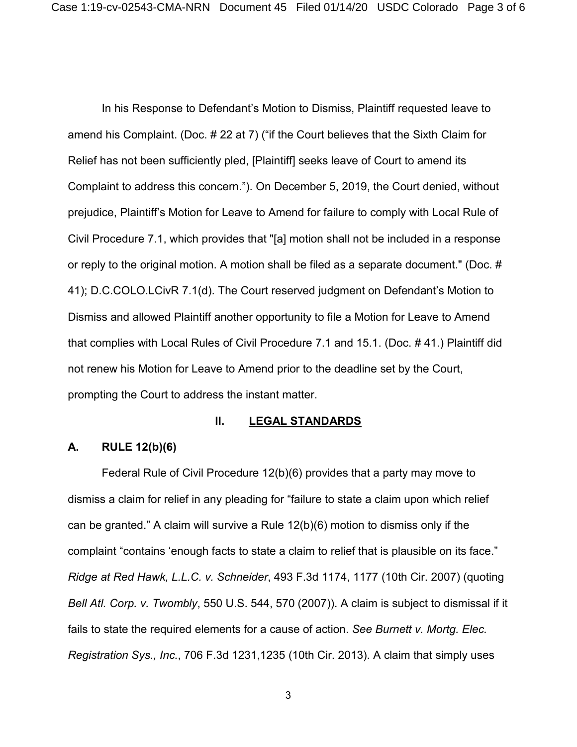In his Response to Defendant's Motion to Dismiss, Plaintiff requested leave to amend his Complaint. (Doc. # 22 at 7) ("if the Court believes that the Sixth Claim for Relief has not been sufficiently pled, [Plaintiff] seeks leave of Court to amend its Complaint to address this concern."). On December 5, 2019, the Court denied, without prejudice, Plaintiff's Motion for Leave to Amend for failure to comply with Local Rule of Civil Procedure 7.1, which provides that "[a] motion shall not be included in a response or reply to the original motion. A motion shall be filed as a separate document." (Doc. # 41); D.C.COLO.LCivR 7.1(d). The Court reserved judgment on Defendant's Motion to Dismiss and allowed Plaintiff another opportunity to file a Motion for Leave to Amend that complies with Local Rules of Civil Procedure 7.1 and 15.1. (Doc. # 41.) Plaintiff did not renew his Motion for Leave to Amend prior to the deadline set by the Court, prompting the Court to address the instant matter.

#### **II. LEGAL STANDARDS**

### **A. RULE 12(b)(6)**

Federal Rule of Civil Procedure 12(b)(6) provides that a party may move to dismiss a claim for relief in any pleading for "failure to state a claim upon which relief can be granted." A claim will survive a Rule 12(b)(6) motion to dismiss only if the complaint "contains 'enough facts to state a claim to relief that is plausible on its face." *Ridge at Red Hawk, L.L.C. v. Schneider*, 493 F.3d 1174, 1177 (10th Cir. 2007) (quoting *Bell Atl. Corp. v. Twombly*, 550 U.S. 544, 570 (2007)). A claim is subject to dismissal if it fails to state the required elements for a cause of action. *See Burnett v. Mortg. Elec. Registration Sys., Inc.*, 706 F.3d 1231,1235 (10th Cir. 2013). A claim that simply uses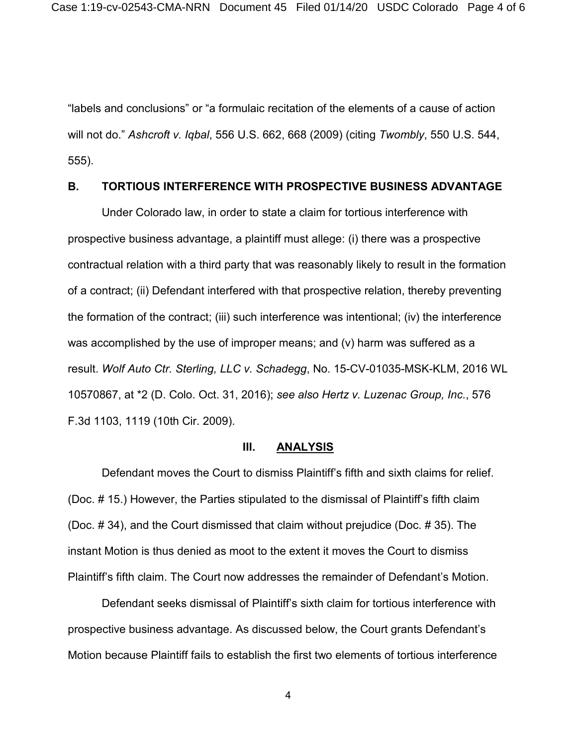"labels and conclusions" or "a formulaic recitation of the elements of a cause of action will not do." *Ashcroft v. Iqbal*, 556 U.S. 662, 668 (2009) (citing *Twombly*, 550 U.S. 544, 555).

### **B. TORTIOUS INTERFERENCE WITH PROSPECTIVE BUSINESS ADVANTAGE**

Under Colorado law, in order to state a claim for tortious interference with prospective business advantage, a plaintiff must allege: (i) there was a prospective contractual relation with a third party that was reasonably likely to result in the formation of a contract; (ii) Defendant interfered with that prospective relation, thereby preventing the formation of the contract; (iii) such interference was intentional; (iv) the interference was accomplished by the use of improper means; and (v) harm was suffered as a result. *Wolf Auto Ctr. Sterling, LLC v. Schadegg*, No. 15-CV-01035-MSK-KLM, 2016 WL 10570867, at \*2 (D. Colo. Oct. 31, 2016); *see also Hertz v. Luzenac Group, Inc.*, 576 F.3d 1103, 1119 (10th Cir. 2009).

#### **III. ANALYSIS**

Defendant moves the Court to dismiss Plaintiff's fifth and sixth claims for relief. (Doc. # 15.) However, the Parties stipulated to the dismissal of Plaintiff's fifth claim (Doc. # 34), and the Court dismissed that claim without prejudice (Doc. # 35). The instant Motion is thus denied as moot to the extent it moves the Court to dismiss Plaintiff's fifth claim. The Court now addresses the remainder of Defendant's Motion.

Defendant seeks dismissal of Plaintiff's sixth claim for tortious interference with prospective business advantage. As discussed below, the Court grants Defendant's Motion because Plaintiff fails to establish the first two elements of tortious interference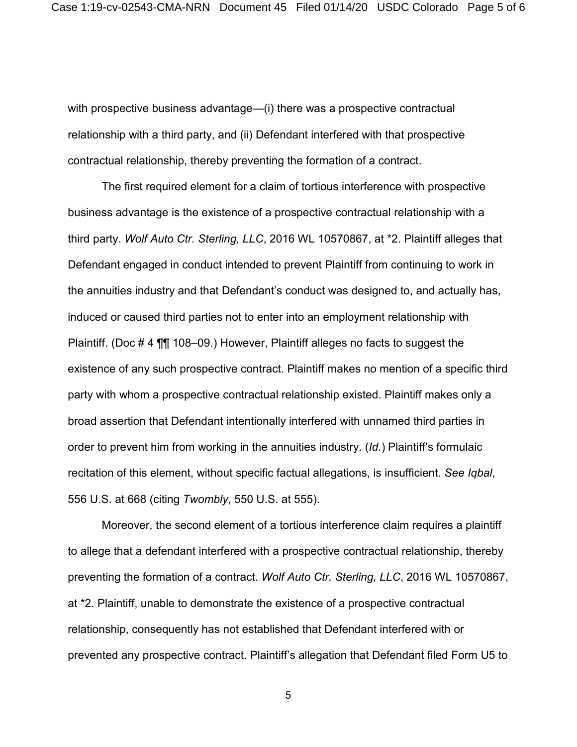with prospective business advantage—(i) there was a prospective contractual relationship with a third party, and (ii) Defendant interfered with that prospective contractual relationship, thereby preventing the formation of a contract.

The first required element for a claim of tortious interference with prospective business advantage is the existence of a prospective contractual relationship with a third party. *Wolf Auto Ctr. Sterling, LLC*, 2016 WL 10570867, at \*2. Plaintiff alleges that Defendant engaged in conduct intended to prevent Plaintiff from continuing to work in the annuities industry and that Defendant's conduct was designed to, and actually has, induced or caused third parties not to enter into an employment relationship with Plaintiff. (Doc # 4 ¶¶ 108–09.) However, Plaintiff alleges no facts to suggest the existence of any such prospective contract. Plaintiff makes no mention of a specific third party with whom a prospective contractual relationship existed. Plaintiff makes only a broad assertion that Defendant intentionally interfered with unnamed third parties in order to prevent him from working in the annuities industry. (*Id.*) Plaintiff's formulaic recitation of this element, without specific factual allegations, is insufficient. *See Iqbal*, 556 U.S. at 668 (citing *Twombly*, 550 U.S. at 555).

Moreover, the second element of a tortious interference claim requires a plaintiff to allege that a defendant interfered with a prospective contractual relationship, thereby preventing the formation of a contract. *Wolf Auto Ctr. Sterling, LLC*, 2016 WL 10570867, at \*2*.* Plaintiff, unable to demonstrate the existence of a prospective contractual relationship, consequently has not established that Defendant interfered with or prevented any prospective contract. Plaintiff's allegation that Defendant filed Form U5 to